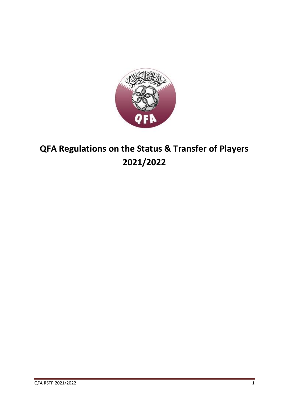

# **QFA Regulations on the Status & Transfer of Players 2021/2022**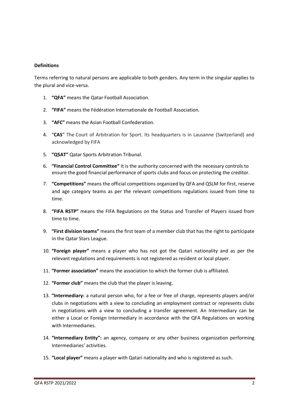# **Definitions**

Terms referring to natural persons are applicable to both genders. Any term in the singular applies to the plural and vice-versa.

- 1. **"QFA"** means the Qatar Football Association.
- 2. **"FIFA"** means the Fédération Internationale de Football Association.
- 3. **"AFC"** means the Asian Football Confederation.
- 4. "**CAS**" The Court of Arbitration for Sport. Its headquarters is in Lausanne (Switzerland) and acknowledged by FIFA
- 5. **"QSAT"** Qatar Sports Arbitration Tribunal.
- 6. **"Financial Control Committee"** It is the authority concerned with the necessary controls to ensure the good financial performance of sports clubs and focus on protecting the creditor.
- 7. **"Competitions"** means the official competitions organized by QFA and QSLM for first, reserve and age category teams as per the relevant competitions regulations issued from time to time.
- 8. **"FIFA RSTP"** means the FIFA Regulations on the Status and Transfer of Players issued from time to time.
- 9. **"First division teams"** means the first team of a member club that has the right to participate in the Qatar Stars League.
- 10. **"Foreign player"** means a player who has not got the Qatari nationality and as per the relevant regulations and requirements is not registered as resident or local player.
- 11. **"Former association"** means the association to which the former club is affiliated.
- 12. **"Former club"** means the club that the player is leaving.
- 13. **"Intermediary:** a natural person who, for a fee or free of charge, represents players and/or clubs in negotiations with a view to concluding an employment contract or represents clubs in negotiations with a view to concluding a transfer agreement. An Intermediary can be either a Local or Foreign Intermediary in accordance with the QFA Regulations on working with Intermediaries.
- 14. **"Intermediary Entity":** an agency, company or any other business organization performing Intermediaries' activities.
- 15. **"Local player"** means a player with Qatari nationality and who is registered as such.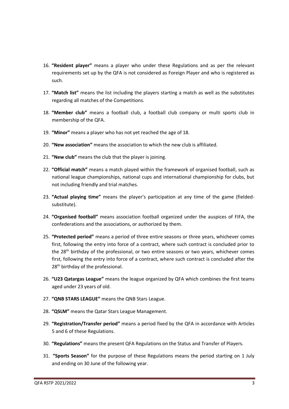- 16. **"Resident player"** means a player who under these Regulations and as per the relevant requirements set up by the QFA is not considered as Foreign Player and who is registered as such.
- 17. **"Match list"** means the list including the players starting a match as well as the substitutes regarding all matches of the Competitions.
- 18. **"Member club"** means a football club, a football club company or multi sports club in membership of the QFA.
- 19. **"Minor"** means a player who has not yet reached the age of 18.
- 20. **"New association"** means the association to which the new club is affiliated.
- 21. **"New club"** means the club that the player is joining.
- 22. **"Official match"** means a match played within the framework of organised football, such as national league championships, national cups and international championship for clubs, but not including friendly and trial matches.
- 23. **"Actual playing time"** means the player's participation at any time of the game (fieldedsubstitute).
- 24. **"Organised football"** means association football organized under the auspices of FIFA, the confederations and the associations, or authorized by them.
- 25. **"Protected period"** means a period of three entire seasons or three years, whichever comes first, following the entry into force of a contract, where such contract is concluded prior to the 28<sup>th</sup> birthday of the professional, or two entire seasons or two years, whichever comes first, following the entry into force of a contract, where such contract is concluded after the 28<sup>th</sup> birthday of the professional.
- 26. **"U23 Qatargas League"** means the league organized by QFA which combines the first teams aged under 23 years of old.
- 27. **"QNB STARS LEAGUE"** means the QNB Stars League.
- 28. **"QSLM"** means the Qatar Stars League Management.
- 29. **"Registration/Transfer period"** means a period fixed by the QFA in accordance with Articles 5 and 6 of these Regulations.
- 30. **"Regulations"** means the present QFA Regulations on the Status and Transfer of Players.
- 31. **"Sports Season"** for the purpose of these Regulations means the period starting on 1 July and ending on 30 June of the following year.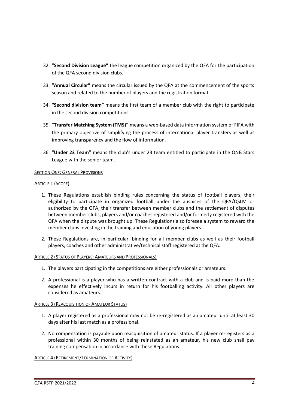- 32. **"Second Division League"** the league competition organized by the QFA for the participation of the QFA second division clubs.
- 33. **"Annual Circular"** means the circular issued by the QFA at the commencement of the sports season and related to the number of players and the registration format.
- 34. **"Second division team"** means the first team of a member club with the right to participate in the second division competitions.
- 35. **"Transfer Matching System (TMS)"** means a web-based data information system of FIFA with the primary objective of simplifying the process of international player transfers as well as improving transparency and the flow of information.
- 36. **"Under 23 Team"** means the club's under 23 team entitled to participate in the QNB Stars League with the senior team.

# SECTION ONE: GENERAL PROVISIONS

# ARTICLE 1 (SCOPE)

- 1. These Regulations establish binding rules concerning the status of football players, their eligibility to participate in organized football under the auspices of the QFA/QSLM or authorized by the QFA, their transfer between member clubs and the settlement of disputes between member clubs, players and/or coaches registered and/or formerly registered with the QFA when the dispute was brought up. These Regulations also foresee a system to reward the member clubs investing in the training and education of young players.
- 2. These Regulations are, in particular, binding for all member clubs as well as their football players, coaches and other administrative/technical staff registered at the QFA.

# ARTICLE 2 (STATUS OF PLAYERS: AMATEURS AND PROFESSIONALS)

- 1. The players participating in the competitions are either professionals or amateurs.
- 2. A professional is a player who has a written contract with a club and is paid more than the expenses he effectively incurs in return for his footballing activity. All other players are considered as amateurs.

# ARTICLE 3 (REACQUISITION OF AMATEUR STATUS)

- 1. A player registered as a professional may not be re-registered as an amateur until at least 30 days after his last match as a professional.
- 2. No compensation is payable upon reacquisition of amateur status. If a player re-registers as a professional within 30 months of being reinstated as an amateur, his new club shall pay training compensation in accordance with these Regulations.

# ARTICLE 4 (RETIREMENT/TERMINATION OF ACTIVITY)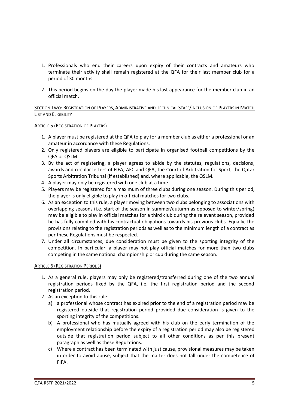- 1. Professionals who end their careers upon expiry of their contracts and amateurs who terminate their activity shall remain registered at the QFA for their last member club for a period of 30 months.
- 2. This period begins on the day the player made his last appearance for the member club in an official match.

# SECTION TWO: REGISTRATION OF PLAYERS, ADMINISTRATIVE AND TECHNICAL STAFF/INCLUSION OF PLAYERS IN MATCH LIST AND ELIGIBILITY

# ARTICLE 5 (REGISTRATION OF PLAYERS)

- 1. A player must be registered at the QFA to play for a member club as either a professional or an amateur in accordance with these Regulations.
- 2. Only registered players are eligible to participate in organised football competitions by the QFA or QSLM.
- 3. By the act of registering, a player agrees to abide by the statutes, regulations, decisions, awards and circular letters of FIFA, AFC and QFA, the Court of Arbitration for Sport, the Qatar Sports Arbitration Tribunal (if established) and, where applicable, the QSLM.
- 4. A player may only be registered with one club at a time.
- 5. Players may be registered for a maximum of three clubs during one season. During this period, the player is only eligible to play in official matches for two clubs.
- 6. As an exception to this rule, a player moving between two clubs belonging to associations with overlapping seasons (i.e. start of the season in summer/autumn as opposed to winter/spring) may be eligible to play in official matches for a third club during the relevant season, provided he has fully complied with his contractual obligations towards his previous clubs. Equally, the provisions relating to the registration periods as well as to the minimum length of a contract as per these Regulations must be respected.
- 7. Under all circumstances, due consideration must be given to the sporting integrity of the competition. In particular, a player may not play official matches for more than two clubs competing in the same national championship or cup during the same season.

# ARTICLE 6 (REGISTRATION PERIODS)

- 1. As a general rule, players may only be registered/transferred during one of the two annual registration periods fixed by the QFA, i.e. the first registration period and the second registration period.
- 2. As an exception to this rule:
	- a) a professional whose contract has expired prior to the end of a registration period may be registered outside that registration period provided due consideration is given to the sporting integrity of the competitions.
	- b) A professional who has mutually agreed with his club on the early termination of the employment relationship before the expiry of a registration period may also be registered outside that registration period subject to all other conditions as per this present paragraph as well as these Regulations.
	- c) Where a contract has been terminated with just cause, provisional measures may be taken in order to avoid abuse, subject that the matter does not fall under the competence of FIFA.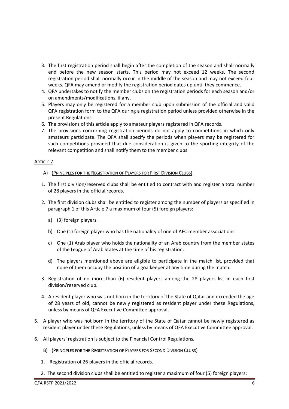- 3. The first registration period shall begin after the completion of the season and shall normally end before the new season starts. This period may not exceed 12 weeks. The second registration period shall normally occur in the middle of the season and may not exceed four weeks. QFA may amend or modify the registration period dates up until they commence.
- 4. QFA undertakes to notify the member clubs on the registration periods for each season and/or on amendments/modifications, if any.
- 5. Players may only be registered for a member club upon submission of the official and valid QFA registration form to the QFA during a registration period unless provided otherwise in the present Regulations.
- 6. The provisions of this article apply to amateur players registered in QFA records.
- 7. The provisions concerning registration periods do not apply to competitions in which only amateurs participate. The QFA shall specify the periods when players may be registered for such competitions provided that due consideration is given to the sporting integrity of the relevant competition and shall notify them to the member clubs.

# **ARTICLE 7**

# A) (PRINCIPLES FOR THE REGISTRATION OF PLAYERS FOR FIRST DIVISION CLUBS)

- 1. The first division/reserved clubs shall be entitled to contract with and register a total number of 28 players in the official records.
- 2. The first division clubs shall be entitled to register among the number of players as specified in paragraph 1 of this Article 7 a maximum of four (5) foreign players:
	- a) (3) foreign players.
	- b) One (1) foreign player who has the nationality of one of AFC member associations.
	- c) One (1) Arab player who holds the nationality of an Arab country from the member states of the League of Arab States at the time of his registration.
	- d) The players mentioned above are eligible to participate in the match list, provided that none of them occupy the position of a goalkeeper at any time during the match.
- 3. Registration of no more than (6) resident players among the 28 players list in each first division/reserved club.
- 4. A resident player who was not born in the territory of the State of Qatar and exceeded the age of 28 years of old, cannot be newly registered as resident player under these Regulations, unless by means of QFA Executive Committee approval.
- 5. A player who was not born in the territory of the State of Qatar cannot be newly registered as resident player under these Regulations, unless by means of QFA Executive Committee approval.
- 6. All players' registration is subject to the Financial Control Regulations.
	- B) (PRINCIPLES FOR THE REGISTRATION OF PLAYERS FOR SECOND DIVISION CLUBS)
	- 1. Registration of 26 players in the official records.
	- 2. The second division clubs shall be entitled to register a maximum of four (5) foreign players: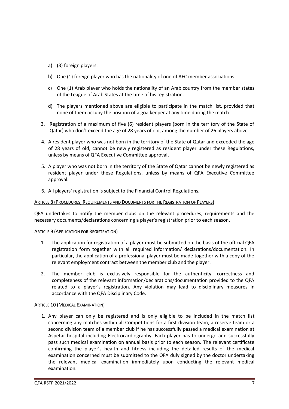- a) (3) foreign players.
- b) One (1) foreign player who has the nationality of one of AFC member associations.
- c) One (1) Arab player who holds the nationality of an Arab country from the member states of the League of Arab States at the time of his registration.
- d) The players mentioned above are eligible to participate in the match list, provided that none of them occupy the position of a goalkeeper at any time during the match
- 3. Registration of a maximum of five (6) resident players (born in the territory of the State of Qatar) who don't exceed the age of 28 years of old, among the number of 26 players above.
- 4. A resident player who was not born in the territory of the State of Qatar and exceeded the age of 28 years of old, cannot be newly registered as resident player under these Regulations, unless by means of QFA Executive Committee approval.
- 5. A player who was not born in the territory of the State of Qatar cannot be newly registered as resident player under these Regulations, unless by means of QFA Executive Committee approval.
- 6. All players' registration is subject to the Financial Control Regulations.

#### ARTICLE 8 (PROCEDURES, REQUIREMENTS AND DOCUMENTS FOR THE REGISTRATION OF PLAYERS)

QFA undertakes to notify the member clubs on the relevant procedures, requirements and the necessary documents/declarations concerning a player's registration prior to each season.

#### ARTICLE 9 (APPLICATION FOR REGISTRATION)

- 1. The application for registration of a player must be submitted on the basis of the official QFA registration form together with all required information/ declarations/documentation. In particular, the application of a professional player must be made together with a copy of the relevant employment contract between the member club and the player.
- 2. The member club is exclusively responsible for the authenticity, correctness and completeness of the relevant information/declarations/documentation provided to the QFA related to a player's registration. Any violation may lead to disciplinary measures in accordance with the QFA Disciplinary Code.

#### **ARTICLE 10 (MEDICAL EXAMINATION)**

1. Any player can only be registered and is only eligible to be included in the match list concerning any matches within all Competitions for a first division team, a reserve team or a second division team of a member club if he has successfully passed a medical examination at Aspetar hospital including Electrocardiography. Each player has to undergo and successfully pass such medical examination on annual basis prior to each season. The relevant certificate confirming the player's health and fitness including the detailed results of the medical examination concerned must be submitted to the QFA duly signed by the doctor undertaking the relevant medical examination immediately upon conducting the relevant medical examination.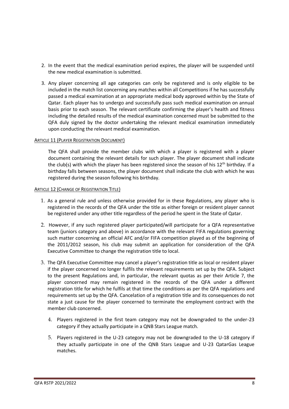- 2. In the event that the medical examination period expires, the player will be suspended until the new medical examination is submitted.
- 3. Any player concerning all age categories can only be registered and is only eligible to be included in the match list concerning any matches within all Competitions if he has successfully passed a medical examination at an appropriate medical body approved within by the State of Qatar. Each player has to undergo and successfully pass such medical examination on annual basis prior to each season. The relevant certificate confirming the player's health and fitness including the detailed results of the medical examination concerned must be submitted to the QFA duly signed by the doctor undertaking the relevant medical examination immediately upon conducting the relevant medical examination.

#### ARTICLE 11 (PLAYER REGISTRATION DOCUMENT)

The QFA shall provide the member clubs with which a player is registered with a player document containing the relevant details for such player. The player document shall indicate the club(s) with which the player has been registered since the season of his  $12<sup>th</sup>$  birthday. If a birthday falls between seasons, the player document shall indicate the club with which he was registered during the season following his birthday.

#### ARTICLE 12 (CHANGE OF REGISTRATION TITLE)

- 1. As a general rule and unless otherwise provided for in these Regulations, any player who is registered in the records of the QFA under the title as either foreign or resident player cannot be registered under any other title regardless of the period he spent in the State of Qatar.
- 2. However, if any such registered player participated/will participate for a QFA representative team (juniors category and above) in accordance with the relevant FIFA regulations governing such matter concerning an official AFC and/or FIFA competition played as of the beginning of the 2011/2012 season, his club may submit an application for consideration of the QFA Executive Committee to change the registration title to local.
- 3. The QFA Executive Committee may cancel a player's registration title as local or resident player if the player concerned no longer fulfils the relevant requirements set up by the QFA. Subject to the present Regulations and, in particular, the relevant quotas as per their Article 7, the player concerned may remain registered in the records of the QFA under a different registration title for which he fulfils at that time the conditions as per the QFA regulations and requirements set up by the QFA. Cancelation of a registration title and its consequences do not state a just cause for the player concerned to terminate the employment contract with the member club concerned.
	- 4. Players registered in the first team category may not be downgraded to the under-23 category if they actually participate in a QNB Stars League match.
	- 5. Players registered in the U-23 category may not be downgraded to the U-18 category if they actually participate in one of the QNB Stars League and U-23 QatarGas League matches.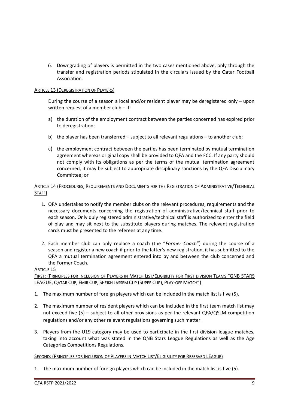6. Downgrading of players is permitted in the two cases mentioned above, only through the transfer and registration periods stipulated in the circulars issued by the Qatar Football Association.

# ARTICLE 13 (DEREGISTRATION OF PLAYERS)

During the course of a season a local and/or resident player may be deregistered only – upon written request of a member club – if:

- a) the duration of the employment contract between the parties concerned has expired prior to deregistration;
- b) the player has been transferred subject to all relevant regulations to another club;
- c) the employment contract between the parties has been terminated by mutual termination agreement whereas original copy shall be provided to QFA and the FCC. If any party should not comply with its obligations as per the terms of the mutual termination agreement concerned, it may be subject to appropriate disciplinary sanctions by the QFA Disciplinary Committee; or

# ARTICLE 14 (PROCEDURES, REQUIREMENTS AND DOCUMENTS FOR THE REGISTRATION OF ADMINISTRATIVE/TECHNICAL STAFF)

- 1. QFA undertakes to notify the member clubs on the relevant procedures, requirements and the necessary documents concerning the registration of administrative/technical staff prior to each season. Only duly registered administrative/technical staff is authorized to enter the field of play and may sit next to the substitute players during matches. The relevant registration cards must be presented to the referees at any time.
- 2. Each member club can only replace a coach (the "*Former Coach*") during the course of a season and register a new coach if prior to the latter's new registration, it has submitted to the QFA a mutual termination agreement entered into by and between the club concerned and the Former Coach.

# ARTICLE 15

FIRST: (PRINCIPLES FOR INCLUSION OF PLAYERS IN MATCH LIST/ELIGIBILITY FOR FIRST DIVISION TEAMS "QNB STARS LEAGUE, QATAR CUP, EMIR CUP, SHEIKH JASSEM CUP (SUPER CUP), PLAY-OFF MATCH")

- 1. The maximum number of foreign players which can be included in the match list is five (5).
- 2. The maximum number of resident players which can be included in the first team match list may not exceed five (5) – subject to all other provisions as per the relevant QFA/QSLM competition regulations and/or any other relevant regulations governing such matter.
- 3. Players from the U19 category may be used to participate in the first division league matches, taking into account what was stated in the QNB Stars League Regulations as well as the Age Categories Competitions Regulations.

# SECOND: (PRINCIPLES FOR INCLUSION OF PLAYERS IN MATCH LIST/ELIGIBILITY FOR RESERVED LEAGUE)

1. The maximum number of foreign players which can be included in the match list is five (5).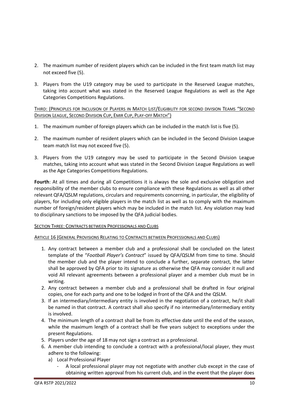- 2. The maximum number of resident players which can be included in the first team match list may not exceed five (5).
- 3. Players from the U19 category may be used to participate in the Reserved League matches, taking into account what was stated in the Reserved League Regulations as well as the Age Categories Competitions Regulations.

# THIRD: (PRINCIPLES FOR INCLUSION OF PLAYERS IN MATCH LIST/ELIGIBILITY FOR SECOND DIVISION TEAMS "SECOND DIVISION LEAGUE, SECOND DIVISION CUP, EMIR CUP, PLAY-OFF MATCH")

- 1. The maximum number of foreign players which can be included in the match list is five (5).
- 2. The maximum number of resident players which can be included in the Second Division League team match list may not exceed five (5).
- 3. Players from the U19 category may be used to participate in the Second Division League matches, taking into account what was stated in the Second Division League Regulations as well as the Age Categories Competitions Regulations.

**Fourth**: At all times and during all Competitions it is always the sole and exclusive obligation and responsibility of the member clubs to ensure compliance with these Regulations as well as all other relevant QFA/QSLM regulations, circulars and requirements concerning, in particular, the eligibility of players, for including only eligible players in the match list as well as to comply with the maximum number of foreign/resident players which may be included in the match list. Any violation may lead to disciplinary sanctions to be imposed by the QFA judicial bodies.

# SECTION THREE: CONTRACTS BETWEEN PROFESSIONALS AND CLUBS

# ARTICLE 16 (GENERAL PROVISIONS RELATING TO CONTRACTS BETWEEN PROFESSIONALS AND CLUBS)

- 1. Any contract between a member club and a professional shall be concluded on the latest template of the "*Football Player's Contract*" issued by QFA/QSLM from time to time. Should the member club and the player intend to conclude a further, separate contract, the latter shall be approved by QFA prior to its signature as otherwise the QFA may consider it null and void All relevant agreements between a professional player and a member club must be in writing.
- 2. Any contract between a member club and a professional shall be drafted in four original copies, one for each party and one to be lodged in front of the QFA and the QSLM.
- 3. If an intermediary/intermediary entity is involved in the negotiation of a contract, he/it shall be named in that contract. A contract shall also specify if no intermediary/intermediary entity is involved.
- 4. The minimum length of a contract shall be from its effective date until the end of the season, while the maximum length of a contract shall be five years subject to exceptions under the present Regulations.
- 5. Players under the age of 18 may not sign a contract as a professional.
- 6. A member club intending to conclude a contract with a professional/local player, they must adhere to the following:
	- a) Local Professional Player
		- A local professional player may not negotiate with another club except in the case of obtaining written approval from his current club, and in the event that the player does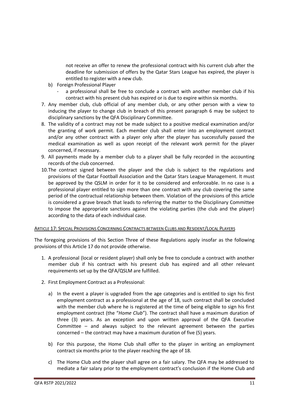not receive an offer to renew the professional contract with his current club after the deadline for submission of offers by the Qatar Stars League has expired, the player is entitled to register with a new club.

- b) Foreign Professional Player
	- a professional shall be free to conclude a contract with another member club if his contract with his present club has expired or is due to expire within six months.
- 7. Any member club, club official of any member club, or any other person with a view to inducing the player to change club in breach of this present paragraph 6 may be subject to disciplinary sanctions by the QFA Disciplinary Committee.
- 8. The validity of a contract may not be made subject to a positive medical examination and/or the granting of work permit. Each member club shall enter into an employment contract and/or any other contract with a player only after the player has successfully passed the medical examination as well as upon receipt of the relevant work permit for the player concerned, if necessary.
- 9. All payments made by a member club to a player shall be fully recorded in the accounting records of the club concerned.
- 10.The contract signed between the player and the club is subject to the regulations and provisions of the Qatar Football Association and the Qatar Stars League Management. It must be approved by the QSLM in order for it to be considered and enforceable. In no case is a professional player entitled to sign more than one contract with any club covering the same period of the contractual relationship between them. Violation of the provisions of this article is considered a grave breach that leads to referring the matter to the Disciplinary Committee to impose the appropriate sanctions against the violating parties (the club and the player) according to the data of each individual case.

# ARTICLE 17: SPECIAL PROVISIONS CONCERNING CONTRACTS BETWEEN CLUBS AND RESIDENT/LOCAL PLAYERS

The foregoing provisions of this Section Three of these Regulations apply insofar as the following provisions of this Article 17 do not provide otherwise.

- 1. A professional (local or resident player) shall only be free to conclude a contract with another member club if his contract with his present club has expired and all other relevant requirements set up by the QFA/QSLM are fulfilled.
- 2. First Employment Contract as a Professional:
	- a) In the event a player is upgraded from the age categories and is entitled to sign his first employment contract as a professional at the age of 18, such contract shall be concluded with the member club where he is registered at the time of being eligible to sign his first employment contract (the "*Home Club*"). The contract shall have a maximum duration of three (3) years. As an exception and upon written approval of the QFA Executive Committee – and always subject to the relevant agreement between the parties concerned – the contract may have a maximum duration of five (5) years.
	- b) For this purpose, the Home Club shall offer to the player in writing an employment contract six months prior to the player reaching the age of 18.
	- c) The Home Club and the player shall agree on a fair salary. The QFA may be addressed to mediate a fair salary prior to the employment contract's conclusion if the Home Club and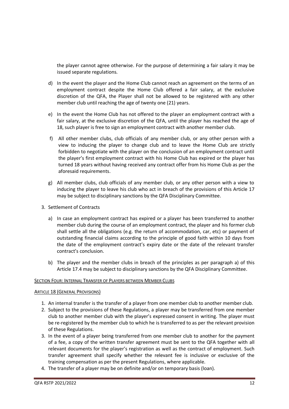the player cannot agree otherwise. For the purpose of determining a fair salary it may be issued separate regulations.

- d) In the event the player and the Home Club cannot reach an agreement on the terms of an employment contract despite the Home Club offered a fair salary, at the exclusive discretion of the QFA, the Player shall not be allowed to be registered with any other member club until reaching the age of twenty one (21) years.
- e) In the event the Home Club has not offered to the player an employment contract with a fair salary, at the exclusive discretion of the QFA, until the player has reached the age of 18, such player is free to sign an employment contract with another member club.
- f) All other member clubs, club officials of any member club, or any other person with a view to inducing the player to change club and to leave the Home Club are strictly forbidden to negotiate with the player on the conclusion of an employment contract until the player's first employment contract with his Home Club has expired or the player has turned 18 years without having received any contract offer from his Home Club as per the aforesaid requirements.
- g) All member clubs, club officials of any member club, or any other person with a view to inducing the player to leave his club who act in breach of the provisions of this Article 17 may be subject to disciplinary sanctions by the QFA Disciplinary Committee.
- 3. Settlement of Contracts
	- a) In case an employment contract has expired or a player has been transferred to another member club during the course of an employment contract, the player and his former club shall settle all the obligations (e.g. the return of accommodation, car, etc) or payment of outstanding financial claims according to the principle of good faith within 10 days from the date of the employment contract's expiry date or the date of the relevant transfer contract's conclusion.
	- b) The player and the member clubs in breach of the principles as per paragraph a) of this Article 17.4 may be subject to disciplinary sanctions by the QFA Disciplinary Committee.

# SECTION FOUR: INTERNAL TRANSFER OF PLAYERS BETWEEN MEMBER CLUBS

# ARTICLE 18 (GENERAL PROVISIONS)

- 1. An internal transfer is the transfer of a player from one member club to another member club.
- 2. Subject to the provisions of these Regulations, a player may be transferred from one member club to another member club with the player's expressed consent in writing. The player must be re-registered by the member club to which he is transferred to as per the relevant provision of these Regulations.
- 3. In the event of a player being transferred from one member club to another for the payment of a fee, a copy of the written transfer agreement must be sent to the QFA together with all relevant documents for the player's registration as well as the contract of employment. Such transfer agreement shall specify whether the relevant fee is inclusive or exclusive of the training compensation as per the present Regulations, where applicable.
- 4. The transfer of a player may be on definite and/or on temporary basis (loan).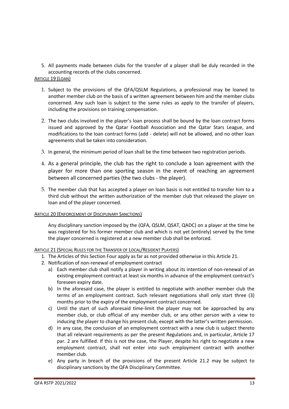5. All payments made between clubs for the transfer of a player shall be duly recorded in the accounting records of the clubs concerned.

# ARTICLE 19 (LOAN)

- 1. Subject to the provisions of the QFA/QSLM Regulations, a professional may be loaned to another member club on the basis of a written agreement between him and the member clubs concerned. Any such loan is subject to the same rules as apply to the transfer of players, including the provisions on training compensation.
- 2. The two clubs involved in the player's loan process shall be bound by the loan contract forms issued and approved by the Qatar Football Association and the Qatar Stars League, and modifications to the loan contract forms (add - delete) will not be allowed, and no other loan agreements shall be taken into consideration.
- 3. In general, the minimum period of loan shall be the time between two registration periods.
- 4. As a general principle, the club has the right to conclude a loan agreement with the player for more than one sporting season in the event of reaching an agreement between all concerned parties (the two clubs - the player).
- 5. The member club that has accepted a player on loan basis is not entitled to transfer him to a third club without the written authorization of the member club that released the player on loan and of the player concerned.

# ARTICLE 20 (ENFORCEMENT OF DISCIPLINARY SANCTIONS)

Any disciplinary sanction imposed by the (QFA, QSLM, QSAT, QADC) on a player at the time he was registered for his former member club and which is not yet (entirely) served by the time the player concerned is registered at a new member club shall be enforced.

# ARTICLE 21 (SPECIAL RULES FOR THE TRANSFER OF LOCAL/RESIDENT PLAYERS)

- 1. The Articles of this Section Four apply as far as not provided otherwise in this Article 21.
- 2. Notification of non-renewal of employment contract
	- a) Each member club shall notify a player in writing about its intention of non-renewal of an existing employment contract at least six months in advance of the employment contract's foreseen expiry date.
	- b) In the aforesaid case, the player is entitled to negotiate with another member club the terms of an employment contract. Such relevant negotiations shall only start three (3) months prior to the expiry of the employment contract concerned.
	- c) Until the start of such aforesaid time-limit the player may not be approached by any member club, or club official of any member club, or any other person with a view to inducing the player to change his present club, except with the latter's written permission.
	- d) In any case, the conclusion of an employment contract with a new club is subject thereto that all relevant requirements as per the present Regulations and, in particular, Article 17 par. 2 are fulfilled. If this is not the case, the Player, despite his right to negotiate a new employment contract, shall not enter into such employment contract with another member club.
	- e) Any party in breach of the provisions of the present Article 21.2 may be subject to disciplinary sanctions by the QFA Disciplinary Committee.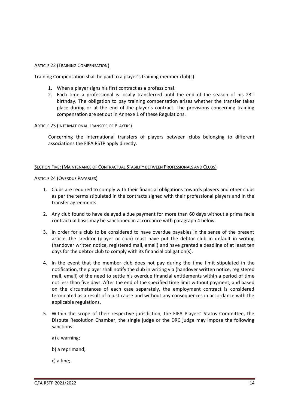# ARTICLE 22 (TRAINING COMPENSATION)

Training Compensation shall be paid to a player's training member club(s):

- 1. When a player signs his first contract as a professional.
- 2. Each time a professional is locally transferred until the end of the season of his  $23^{rd}$ birthday. The obligation to pay training compensation arises whether the transfer takes place during or at the end of the player's contract. The provisions concerning training compensation are set out in Annexe 1 of these Regulations.

#### ARTICLE 23 (INTERNATIONAL TRANSFER OF PLAYERS)

Concerning the international transfers of players between clubs belonging to different associations the FIFA RSTP apply directly.

#### SECTION FIVE: (MAINTENANCE OF CONTRACTUAL STABILITY BETWEEN PROFESSIONALS AND CLUBS)

#### ARTICLE 24 (OVERDUE PAYABLES)

- 1. Clubs are required to comply with their financial obligations towards players and other clubs as per the terms stipulated in the contracts signed with their professional players and in the transfer agreements.
- 2. Any club found to have delayed a due payment for more than 60 days without a prima facie contractual basis may be sanctioned in accordance with paragraph 4 below.
- 3. In order for a club to be considered to have overdue payables in the sense of the present article, the creditor (player or club) must have put the debtor club in default in writing (handover written notice, registered mail, email) and have granted a deadline of at least ten days for the debtor club to comply with its financial obligation(s).
- 4. In the event that the member club does not pay during the time limit stipulated in the notification, the player shall notify the club in writing via (handover written notice, registered mail, email) of the need to settle his overdue financial entitlements within a period of time not less than five days. After the end of the specified time limit without payment, and based on the circumstances of each case separately, the employment contract is considered terminated as a result of a just cause and without any consequences in accordance with the applicable regulations.
- 5. Within the scope of their respective jurisdiction, the FIFA Players' Status Committee, the Dispute Resolution Chamber, the single judge or the DRC judge may impose the following sanctions:
	- a) a warning;
	- b) a reprimand;
	- c) a fine;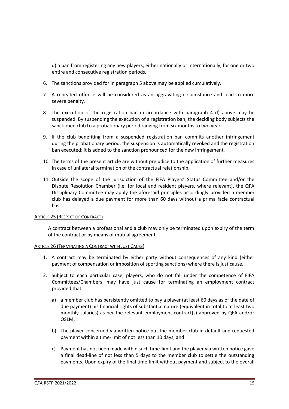d) a ban from registering any new players, either nationally or internationally, for one or two entire and consecutive registration periods.

- 6. The sanctions provided for in paragraph 5 above may be applied cumulatively.
- 7. A repeated offence will be considered as an aggravating circumstance and lead to more severe penalty.
- 8. The execution of the registration ban in accordance with paragraph 4 d) above may be suspended. By suspending the execution of a registration ban, the deciding body subjects the sanctioned club to a probationary period ranging from six months to two years.
- 9. If the club benefiting from a suspended registration ban commits another infringement during the probationary period, the suspension is automatically revoked and the registration ban executed; it is added to the sanction pronounced for the new infringement.
- 10. The terms of the present article are without prejudice to the application of further measures in case of unilateral termination of the contractual relationship.
- 11. Outside the scope of the jurisdiction of the FIFA Players' Status Committee and/or the Dispute Resolution Chamber (i.e. for local and resident players, where relevant), the QFA Disciplinary Committee may apply the aforesaid principles accordingly provided a member club has delayed a due payment for more than 60 days without a prima facie contractual basis.

# ARTICLE 25 (RESPECT OF CONTRACT)

A contract between a professional and a club may only be terminated upon expiry of the term of the contract or by means of mutual agreement.

# ARTICLE 26 (TERMINATING A CONTRACT WITH JUST CAUSE)

- 1. A contract may be terminated by either party without consequences of any kind (either payment of compensation or imposition of sporting sanctions) where there is just cause.
- 2. Subject to each particular case, players, who do not fall under the competence of FIFA Committees/Chambers, may have just cause for terminating an employment contract provided that:
	- a) a member club has persistently omitted to pay a player (at least 60 days as of the date of due payment) his financial rights of substantial nature (equivalent in total to at least two monthly salaries) as per the relevant employment contract(s) approved by QFA and/or QSLM;
	- b) The player concerned via written notice put the member club in default and requested payment within a time-limit of not less than 10 days; and
	- c) Payment has not been made within such time-limit and the player via written notice gave a final dead-line of not less than 5 days to the member club to settle the outstanding payments. Upon expiry of the final time-limit without payment and subject to the overall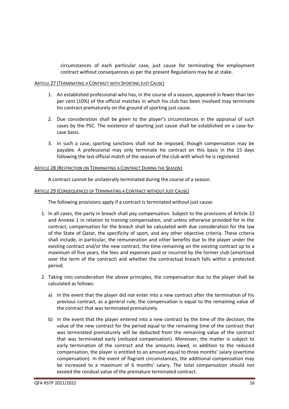circumstances of each particular case, just cause for terminating the employment contract without consequences as per the present Regulations may be at stake.

## ARTICLE 27 (TERMINATING A CONTRACT WITH SPORTING JUST CAUSE)

- 1. An established professional who has, in the course of a season, appeared in fewer than ten per cent (10%) of the official matches in which his club has been involved may terminate his contract prematurely on the ground of sporting just cause.
- 2. Due consideration shall be given to the player's circumstances in the appraisal of such cases by the PSC. The existence of sporting just cause shall be established on a case-bycase basis.
- 3. In such a case, sporting sanctions shall not be imposed, though compensation may be payable. A professional may only terminate his contract on this basis in the 15 days following the last official match of the season of the club with which he is registered.

#### ARTICLE 28 (RESTRICTION ON TERMINATING A CONTRACT DURING THE SEASON)

A contract cannot be unilaterally terminated during the course of a season.

#### ARTICLE 29 (CONSEQUENCES OF TERMINATING A CONTRACT WITHOUT JUST CAUSE)

The following provisions apply if a contract is terminated without just cause:

- 1. In all cases, the party in breach shall pay compensation. Subject to the provisions of Article 22 and Annexe 1 in relation to training compensation, and unless otherwise provided for in the contract, compensation for the breach shall be calculated with due consideration for the law of the State of Qatar, the specificity of sport, and any other objective criteria. These criteria shall include, in particular, the remuneration and other benefits due to the player under the existing contract and/or the new contract, the time remaining on the existing contract up to a maximum of five years, the fees and expenses paid or incurred by the former club (amortised over the term of the contract) and whether the contractual breach falls within a protected period.
- 2. Taking into consideration the above principles, the compensation due to the player shall be calculated as follows:
	- a) In the event that the player did not enter into a new contract after the termination of his previous contract, as a general rule, the compensation is equal to the remaining value of the contract that was terminated prematurely.
	- b) In the event that the player entered into a new contract by the time of the decision, the value of the new contract for the period equal to the remaining time of the contract that was terminated prematurely will be deducted from the remaining value of the contract that was terminated early (reduced compensation). Moreover, the matter is subject to early termination of the contract and the amounts owed, in addition to the reduced compensation, the player is entitled to an amount equal to three months' salary (overtime compensation). In the event of flagrant circumstances, the additional compensation may be increased to a maximum of 6 months' salary. The total compensation should not exceed the residual value of the premature terminated contract.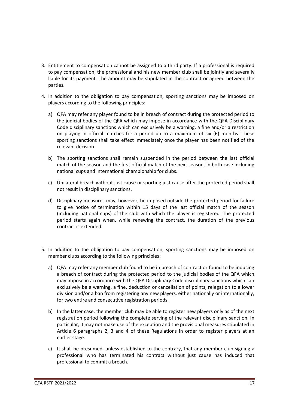- 3. Entitlement to compensation cannot be assigned to a third party. If a professional is required to pay compensation, the professional and his new member club shall be jointly and severally liable for its payment. The amount may be stipulated in the contract or agreed between the parties.
- 4. In addition to the obligation to pay compensation, sporting sanctions may be imposed on players according to the following principles:
	- a) QFA may refer any player found to be in breach of contract during the protected period to the judicial bodies of the QFA which may impose in accordance with the QFA Disciplinary Code disciplinary sanctions which can exclusively be a warning, a fine and/or a restriction on playing in official matches for a period up to a maximum of six (6) months. These sporting sanctions shall take effect immediately once the player has been notified of the relevant decision.
	- b) The sporting sanctions shall remain suspended in the period between the last official match of the season and the first official match of the next season, in both case including national cups and international championship for clubs.
	- c) Unilateral breach without just cause or sporting just cause after the protected period shall not result in disciplinary sanctions.
	- d) Disciplinary measures may, however, be imposed outside the protected period for failure to give notice of termination within 15 days of the last official match of the season (including national cups) of the club with which the player is registered. The protected period starts again when, while renewing the contract, the duration of the previous contract is extended.
- 5. In addition to the obligation to pay compensation, sporting sanctions may be imposed on member clubs according to the following principles:
	- a) QFA may refer any member club found to be in breach of contract or found to be inducing a breach of contract during the protected period to the judicial bodies of the QFA which may impose in accordance with the QFA Disciplinary Code disciplinary sanctions which can exclusively be a warning, a fine, deduction or cancellation of points, relegation to a lower division and/or a ban from registering any new players, either nationally or internationally, for two entire and consecutive registration periods.
	- b) In the latter case, the member club may be able to register new players only as of the next registration period following the complete serving of the relevant disciplinary sanction. In particular, it may not make use of the exception and the provisional measures stipulated in Article 6 paragraphs 2, 3 and 4 of these Regulations in order to register players at an earlier stage.
	- c) It shall be presumed, unless established to the contrary, that any member club signing a professional who has terminated his contract without just cause has induced that professional to commit a breach.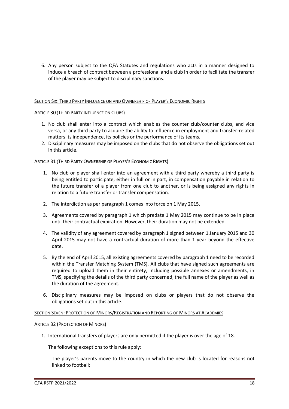6. Any person subject to the QFA Statutes and regulations who acts in a manner designed to induce a breach of contract between a professional and a club in order to facilitate the transfer of the player may be subject to disciplinary sanctions.

# SECTION SIX: THIRD PARTY INFLUENCE ON AND OWNERSHIP OF PLAYER'S ECONOMIC RIGHTS

# ARTICLE 30 (THIRD PARTY INFLUENCE ON CLUBS)

- 1. No club shall enter into a contract which enables the counter club/counter clubs, and vice versa, or any third party to acquire the ability to influence in employment and transfer-related matters its independence, its policies or the performance of its teams.
- 2. Disciplinary measures may be imposed on the clubs that do not observe the obligations set out in this article.

# ARTICLE 31 (THIRD PARTY OWNERSHIP OF PLAYER'S ECONOMIC RIGHTS)

- 1. No club or player shall enter into an agreement with a third party whereby a third party is being entitled to participate, either in full or in part, in compensation payable in relation to the future transfer of a player from one club to another, or is being assigned any rights in relation to a future transfer or transfer compensation.
- 2. The interdiction as per paragraph 1 comes into force on 1 May 2015.
- 3. Agreements covered by paragraph 1 which predate 1 May 2015 may continue to be in place until their contractual expiration. However, their duration may not be extended.
- 4. The validity of any agreement covered by paragraph 1 signed between 1 January 2015 and 30 April 2015 may not have a contractual duration of more than 1 year beyond the effective date.
- 5. By the end of April 2015, all existing agreements covered by paragraph 1 need to be recorded within the Transfer Matching System (TMS). All clubs that have signed such agreements are required to upload them in their entirety, including possible annexes or amendments, in TMS, specifying the details of the third party concerned, the full name of the player as well as the duration of the agreement.
- 6. Disciplinary measures may be imposed on clubs or players that do not observe the obligations set out in this article.

# SECTION SEVEN: PROTECTION OF MINORS/REGISTRATION AND REPORTING OF MINORS AT ACADEMIES

#### ARTICLE 32 (PROTECTION OF MINORS)

1. International transfers of players are only permitted if the player is over the age of 18.

The following exceptions to this rule apply:

The player's parents move to the country in which the new club is located for reasons not linked to football;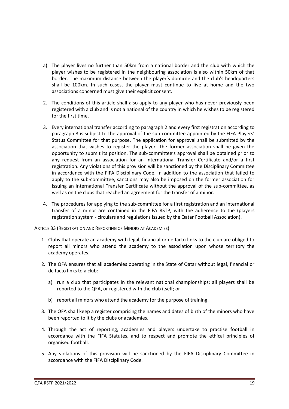- a) The player lives no further than 50km from a national border and the club with which the player wishes to be registered in the neighbouring association is also within 50km of that border. The maximum distance between the player's domicile and the club's headquarters shall be 100km. In such cases, the player must continue to live at home and the two associations concerned must give their explicit consent.
- 2. The conditions of this article shall also apply to any player who has never previously been registered with a club and is not a national of the country in which he wishes to be registered for the first time.
- 3. Every international transfer according to paragraph 2 and every first registration according to paragraph 3 is subject to the approval of the sub committee appointed by the FIFA Players' Status Committee for that purpose. The application for approval shall be submitted by the association that wishes to register the player. The former association shall be given the opportunity to submit its position. The sub-committee's approval shall be obtained prior to any request from an association for an International Transfer Certificate and/or a first registration. Any violations of this provision will be sanctioned by the Disciplinary Committee in accordance with the FIFA Disciplinary Code. In addition to the association that failed to apply to the sub-committee, sanctions may also be imposed on the former association for issuing an International Transfer Certificate without the approval of the sub-committee, as well as on the clubs that reached an agreement for the transfer of a minor.
- 4. The procedures for applying to the sub-committee for a first registration and an international transfer of a minor are contained in the FIFA RSTP, with the adherence to the (players registration system - circulars and regulations issued by the Qatar Football Association).

# ARTICLE 33 (REGISTRATION AND REPORTING OF MINORS AT ACADEMIES)

- 1. Clubs that operate an academy with legal, financial or de facto links to the club are obliged to report all minors who attend the academy to the association upon whose territory the academy operates.
- 2. The QFA ensures that all academies operating in the State of Qatar without legal, financial or de facto links to a club:
	- a) run a club that participates in the relevant national championships; all players shall be reported to the QFA, or registered with the club itself; or
	- b) report all minors who attend the academy for the purpose of training.
- 3. The QFA shall keep a register comprising the names and dates of birth of the minors who have been reported to it by the clubs or academies.
- 4. Through the act of reporting, academies and players undertake to practise football in accordance with the FIFA Statutes, and to respect and promote the ethical principles of organised football.
- 5. Any violations of this provision will be sanctioned by the FIFA Disciplinary Committee in accordance with the FIFA Disciplinary Code.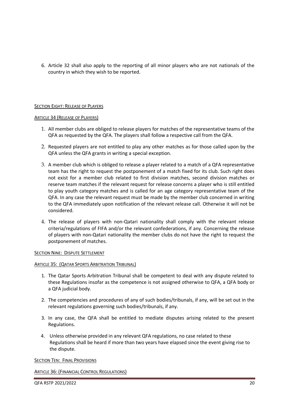6. Article 32 shall also apply to the reporting of all minor players who are not nationals of the country in which they wish to be reported.

# SECTION EIGHT: RELEASE OF PLAYERS

# ARTICLE 34 (RELEASE OF PLAYERS)

- 1. All member clubs are obliged to release players for matches of the representative teams of the QFA as requested by the QFA. The players shall follow a respective call from the QFA.
- 2. Requested players are not entitled to play any other matches as for those called upon by the QFA unless the QFA grants in writing a special exception.
- 3. A member club which is obliged to release a player related to a match of a QFA representative team has the right to request the postponement of a match fixed for its club. Such right does not exist for a member club related to first division matches, second division matches or reserve team matches if the relevant request for release concerns a player who is still entitled to play youth category matches and is called for an age category representative team of the QFA. In any case the relevant request must be made by the member club concerned in writing to the QFA immediately upon notification of the relevant release call. Otherwise it will not be considered.
- 4. The release of players with non-Qatari nationality shall comply with the relevant release criteria/regulations of FIFA and/or the relevant confederations, if any. Concerning the release of players with non-Qatari nationality the member clubs do not have the right to request the postponement of matches.

#### **SECTION NINE: DISPUTE SETTLEMENT**

# ARTICLE 35: (QATAR SPORTS ARBITRATION TRIBUNAL)

- 1. The Qatar Sports Arbitration Tribunal shall be competent to deal with any dispute related to these Regulations insofar as the competence is not assigned otherwise to QFA, a QFA body or a QFA judicial body.
- 2. The competencies and procedures of any of such bodies/tribunals, if any, will be set out in the relevant regulations governing such bodies/tribunals, if any.
- 3. In any case, the QFA shall be entitled to mediate disputes arising related to the present Regulations.
- 4. Unless otherwise provided in any relevant QFA regulations, no case related to these Regulations shall be heard if more than two years have elapsed since the event giving rise to the dispute.

#### SECTION TEN: FINAL PROVISIONS

ARTICLE 36: (FINANCIAL CONTROL REGULATIONS)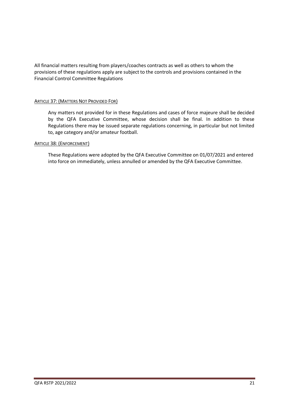All financial matters resulting from players/coaches contracts as well as others to whom the provisions of these regulations apply are subject to the controls and provisions contained in the Financial Control Committee Regulations

# **ARTICLE 37: (MATTERS NOT PROVIDED FOR)**

Any matters not provided for in these Regulations and cases of force majeure shall be decided by the QFA Executive Committee, whose decision shall be final. In addition to these Regulations there may be issued separate regulations concerning, in particular but not limited to, age category and/or amateur football.

# ARTICLE 38: (ENFORCEMENT)

These Regulations were adopted by the QFA Executive Committee on 01/07/2021 and entered into force on immediately, unless annulled or amended by the QFA Executive Committee.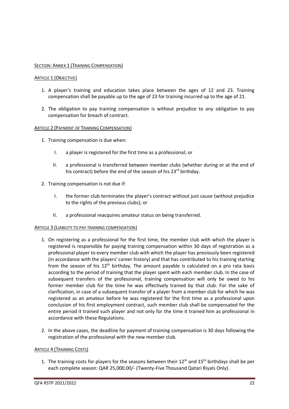# SECTION: ANNEX 1 (TRAINING COMPENSATION)

# ARTICLE 1 (OBJECTIVE)

- 1. A player's training and education takes place between the ages of 12 and 23. Training compensation shall be payable up to the age of 23 for training incurred up to the age of 21.
- 2. The obligation to pay training compensation is without prejudice to any obligation to pay compensation for breach of contract.

# ARTICLE 2 (PAYMENT OF TRAINING COMPENSATION)

- 1. Training compensation is due when:
	- I. a player is registered for the first time as a professional; or
	- II. a professional is transferred between member clubs (whether during or at the end of his contract) before the end of the season of his 23<sup>rd</sup> birthday.
- 2. Training compensation is not due if:
	- I. the former club terminates the player's contract without just cause (without prejudice to the rights of the previous clubs); or
	- II. a professional reacquires amateur status on being transferred.

# ARTICLE 3 (LIABILITY TO PAY TRAINING COMPENSATION)

- 1. On registering as a professional for the first time, the member club with which the player is registered is responsible for paying training compensation within 30 days of registration as a professional player to every member club with which the player has previously been registered (in accordance with the players' career history) and that has contributed to his training starting from the season of his  $12<sup>th</sup>$  birthday. The amount payable is calculated on a pro rata basis according to the period of training that the player spent with each member club. In the case of subsequent transfers of the professional, training compensation will only be owed to his former member club for the time he was effectively trained by that club. For the sake of clarification, in case of a subsequent transfer of a player from a member club for which he was registered as an amateur before he was registered for the first time as a professional upon conclusion of his first employment contract, such member club shall be compensated for the entire period it trained such player and not only for the time it trained him as professional in accordance with these Regulations.
- 2. In the above cases, the deadline for payment of training compensation is 30 days following the registration of the professional with the new member club.

# ARTICLE 4 (TRAINING COSTS)

1. The training costs for players for the seasons between their  $12<sup>th</sup>$  and  $15<sup>th</sup>$  birthdays shall be per each complete season: QAR 25,000.00/- (Twenty-Five Thousand Qatari Riyals Only).